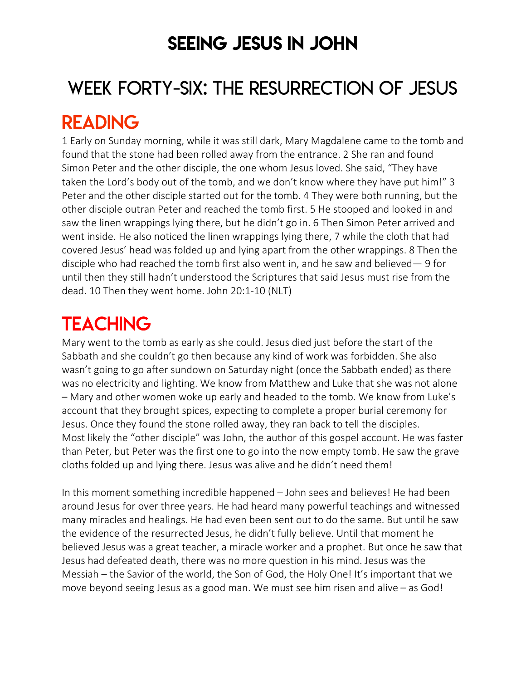### SEEING JESUS IN JOHN

# WEEK FORTY-SIX: THE RESURRECTION OF JESUS

### READING

1 Early on Sunday morning, while it was still dark, Mary Magdalene came to the tomb and found that the stone had been rolled away from the entrance. 2 She ran and found Simon Peter and the other disciple, the one whom Jesus loved. She said, "They have taken the Lord's body out of the tomb, and we don't know where they have put him!" 3 Peter and the other disciple started out for the tomb. 4 They were both running, but the other disciple outran Peter and reached the tomb first. 5 He stooped and looked in and saw the linen wrappings lying there, but he didn't go in. 6 Then Simon Peter arrived and went inside. He also noticed the linen wrappings lying there, 7 while the cloth that had covered Jesus' head was folded up and lying apart from the other wrappings. 8 Then the disciple who had reached the tomb first also went in, and he saw and believed— 9 for until then they still hadn't understood the Scriptures that said Jesus must rise from the dead. 10 Then they went home. John 20:1-10 (NLT)

## **TEACHING**

Mary went to the tomb as early as she could. Jesus died just before the start of the Sabbath and she couldn't go then because any kind of work was forbidden. She also wasn't going to go after sundown on Saturday night (once the Sabbath ended) as there was no electricity and lighting. We know from Matthew and Luke that she was not alone – Mary and other women woke up early and headed to the tomb. We know from Luke's account that they brought spices, expecting to complete a proper burial ceremony for Jesus. Once they found the stone rolled away, they ran back to tell the disciples. Most likely the "other disciple" was John, the author of this gospel account. He was faster than Peter, but Peter was the first one to go into the now empty tomb. He saw the grave cloths folded up and lying there. Jesus was alive and he didn't need them!

In this moment something incredible happened – John sees and believes! He had been around Jesus for over three years. He had heard many powerful teachings and witnessed many miracles and healings. He had even been sent out to do the same. But until he saw the evidence of the resurrected Jesus, he didn't fully believe. Until that moment he believed Jesus was a great teacher, a miracle worker and a prophet. But once he saw that Jesus had defeated death, there was no more question in his mind. Jesus was the Messiah – the Savior of the world, the Son of God, the Holy One! It's important that we move beyond seeing Jesus as a good man. We must see him risen and alive – as God!